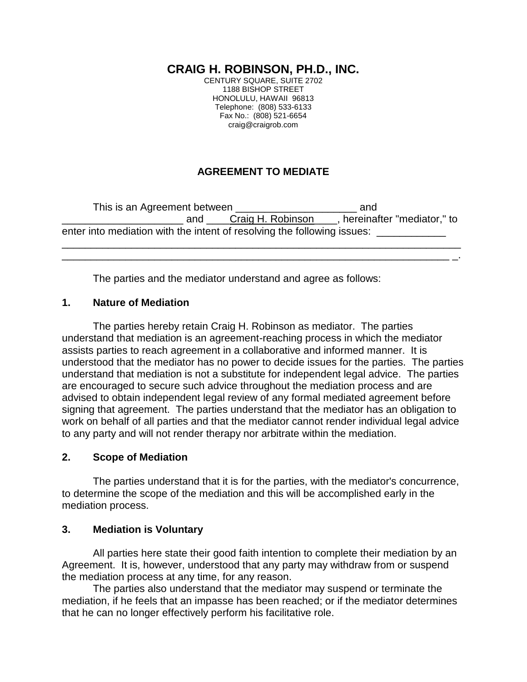**CRAIG H. ROBINSON, PH.D., INC.**

CENTURY SQUARE, SUITE 2702 1188 BISHOP STREET HONOLULU, HAWAII 96813 Telephone: (808) 533-6133 Fax No.: (808) 521-6654 craig@craigrob.com

# **AGREEMENT TO MEDIATE**

| This is an Agreement between                                            |                          |  | and |                            |
|-------------------------------------------------------------------------|--------------------------|--|-----|----------------------------|
|                                                                         | Craig H. Robinson<br>and |  |     | hereinafter "mediator," to |
| enter into mediation with the intent of resolving the following issues: |                          |  |     |                            |
|                                                                         |                          |  |     |                            |

\_\_\_\_\_\_\_\_\_\_\_\_\_\_\_\_\_\_\_\_\_\_\_\_\_\_\_\_\_\_\_\_\_\_\_\_\_\_\_\_\_\_\_\_\_\_\_\_\_\_\_\_\_\_\_\_\_\_\_\_\_\_\_\_\_\_\_ \_.

The parties and the mediator understand and agree as follows:

# **1. Nature of Mediation**

The parties hereby retain Craig H. Robinson as mediator. The parties understand that mediation is an agreement-reaching process in which the mediator assists parties to reach agreement in a collaborative and informed manner. It is understood that the mediator has no power to decide issues for the parties. The parties understand that mediation is not a substitute for independent legal advice. The parties are encouraged to secure such advice throughout the mediation process and are advised to obtain independent legal review of any formal mediated agreement before signing that agreement. The parties understand that the mediator has an obligation to work on behalf of all parties and that the mediator cannot render individual legal advice to any party and will not render therapy nor arbitrate within the mediation.

#### **2. Scope of Mediation**

The parties understand that it is for the parties, with the mediator's concurrence, to determine the scope of the mediation and this will be accomplished early in the mediation process.

#### **3. Mediation is Voluntary**

All parties here state their good faith intention to complete their mediation by an Agreement. It is, however, understood that any party may withdraw from or suspend the mediation process at any time, for any reason.

The parties also understand that the mediator may suspend or terminate the mediation, if he feels that an impasse has been reached; or if the mediator determines that he can no longer effectively perform his facilitative role.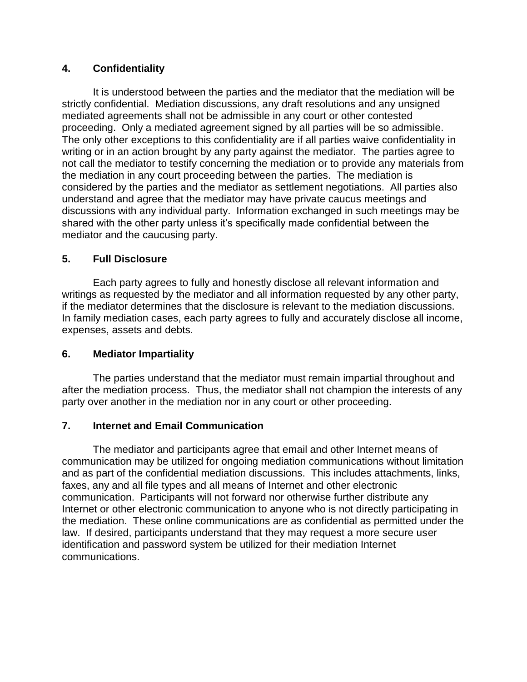### **4. Confidentiality**

It is understood between the parties and the mediator that the mediation will be strictly confidential. Mediation discussions, any draft resolutions and any unsigned mediated agreements shall not be admissible in any court or other contested proceeding. Only a mediated agreement signed by all parties will be so admissible. The only other exceptions to this confidentiality are if all parties waive confidentiality in writing or in an action brought by any party against the mediator. The parties agree to not call the mediator to testify concerning the mediation or to provide any materials from the mediation in any court proceeding between the parties. The mediation is considered by the parties and the mediator as settlement negotiations. All parties also understand and agree that the mediator may have private caucus meetings and discussions with any individual party. Information exchanged in such meetings may be shared with the other party unless it's specifically made confidential between the mediator and the caucusing party.

### **5. Full Disclosure**

Each party agrees to fully and honestly disclose all relevant information and writings as requested by the mediator and all information requested by any other party, if the mediator determines that the disclosure is relevant to the mediation discussions. In family mediation cases, each party agrees to fully and accurately disclose all income, expenses, assets and debts.

# **6. Mediator Impartiality**

The parties understand that the mediator must remain impartial throughout and after the mediation process. Thus, the mediator shall not champion the interests of any party over another in the mediation nor in any court or other proceeding.

# **7. Internet and Email Communication**

The mediator and participants agree that email and other Internet means of communication may be utilized for ongoing mediation communications without limitation and as part of the confidential mediation discussions. This includes attachments, links, faxes, any and all file types and all means of Internet and other electronic communication. Participants will not forward nor otherwise further distribute any Internet or other electronic communication to anyone who is not directly participating in the mediation. These online communications are as confidential as permitted under the law. If desired, participants understand that they may request a more secure user identification and password system be utilized for their mediation Internet communications.